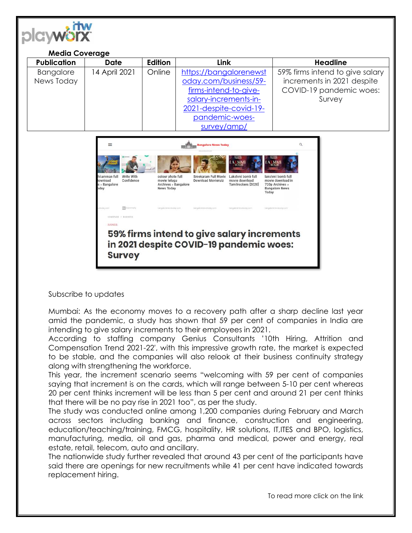

## **Media Coverage Publication Date Edition Link Headline** Bangalore News Today 14 April 2021 | Online | [https://bangalorenewst](https://bangalorenewstoday.com/business/59-firms-intend-to-give-salary-increments-in-2021-despite-covid-19-pandemic-woes-survey/amp/) [oday.com/business/59](https://bangalorenewstoday.com/business/59-firms-intend-to-give-salary-increments-in-2021-despite-covid-19-pandemic-woes-survey/amp/) [firms-intend-to-give](https://bangalorenewstoday.com/business/59-firms-intend-to-give-salary-increments-in-2021-despite-covid-19-pandemic-woes-survey/amp/)[salary-increments-in-](https://bangalorenewstoday.com/business/59-firms-intend-to-give-salary-increments-in-2021-despite-covid-19-pandemic-woes-survey/amp/)[2021-despite-covid-19](https://bangalorenewstoday.com/business/59-firms-intend-to-give-salary-increments-in-2021-despite-covid-19-pandemic-woes-survey/amp/) [pandemic-woes](https://bangalorenewstoday.com/business/59-firms-intend-to-give-salary-increments-in-2021-despite-covid-19-pandemic-woes-survey/amp/)[survey/amp/](https://bangalorenewstoday.com/business/59-firms-intend-to-give-salary-increments-in-2021-despite-covid-19-pandemic-woes-survey/amp/) 59% firms intend to give salary increments in 2021 despite COVID-19 pandemic woes: Survey



## Subscribe to updates

Mumbai: As the economy moves to a recovery path after a sharp decline last year amid the pandemic, a study has shown that 59 per cent of companies in India are intending to give salary increments to their employees in 2021.

According to staffing company Genius Consultants '10th Hiring, Attrition and Compensation Trend 2021-22′, with this impressive growth rate, the market is expected to be stable, and the companies will also relook at their business continuity strategy along with strengthening the workforce.

This year, the increment scenario seems "welcoming with 59 per cent of companies saying that increment is on the cards, which will range between 5-10 per cent whereas 20 per cent thinks increment will be less than 5 per cent and around 21 per cent thinks that there will be no pay rise in 2021 too", as per the study.

The study was conducted online among 1,200 companies during February and March across sectors including banking and finance, construction and engineering, education/teaching/training, FMCG, hospitality, HR solutions, IT,ITES and BPO, logistics, manufacturing, media, oil and gas, pharma and medical, power and energy, real estate, retail, telecom, auto and ancillary.

The nationwide study further revealed that around 43 per cent of the participants have said there are openings for new recruitments while 41 per cent have indicated towards replacement hiring.

To read more click on the link